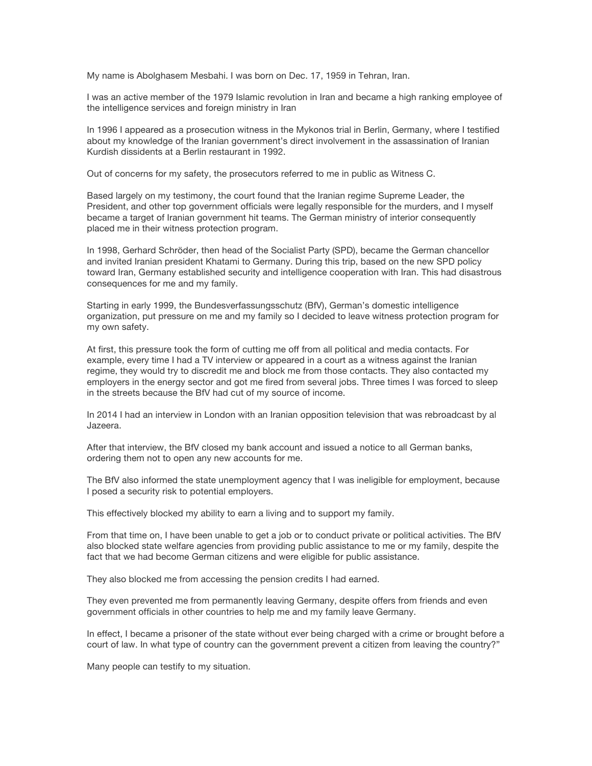My name is Abolghasem Mesbahi. I was born on Dec. 17, 1959 in Tehran, Iran.

I was an active member of the 1979 Islamic revolution in Iran and became a high ranking employee of the intelligence services and foreign ministry in Iran

In 1996 I appeared as a prosecution witness in the Mykonos trial in Berlin, Germany, where I testified about my knowledge of the Iranian government's direct involvement in the assassination of Iranian Kurdish dissidents at a Berlin restaurant in 1992.

Out of concerns for my safety, the prosecutors referred to me in public as Witness C.

Based largely on my testimony, the court found that the Iranian regime Supreme Leader, the President, and other top government officials were legally responsible for the murders, and I myself became a target of Iranian government hit teams. The German ministry of interior consequently placed me in their witness protection program.

In 1998, Gerhard Schröder, then head of the Socialist Party (SPD), became the German chancellor and invited Iranian president Khatami to Germany. During this trip, based on the new SPD policy toward Iran, Germany established security and intelligence cooperation with Iran. This had disastrous consequences for me and my family.

Starting in early 1999, the Bundesverfassungsschutz (BfV), German's domestic intelligence organization, put pressure on me and my family so I decided to leave witness protection program for my own safety.

At first, this pressure took the form of cutting me off from all political and media contacts. For example, every time I had a TV interview or appeared in a court as a witness against the Iranian regime, they would try to discredit me and block me from those contacts. They also contacted my employers in the energy sector and got me fired from several jobs. Three times I was forced to sleep in the streets because the BfV had cut of my source of income.

In 2014 I had an interview in London with an Iranian opposition television that was rebroadcast by al Jazeera.

After that interview, the BfV closed my bank account and issued a notice to all German banks, ordering them not to open any new accounts for me.

The BfV also informed the state unemployment agency that I was ineligible for employment, because I posed a security risk to potential employers.

This effectively blocked my ability to earn a living and to support my family.

From that time on, I have been unable to get a job or to conduct private or political activities. The BfV also blocked state welfare agencies from providing public assistance to me or my family, despite the fact that we had become German citizens and were eligible for public assistance.

They also blocked me from accessing the pension credits I had earned.

They even prevented me from permanently leaving Germany, despite offers from friends and even government officials in other countries to help me and my family leave Germany.

In effect, I became a prisoner of the state without ever being charged with a crime or brought before a court of law. In what type of country can the government prevent a citizen from leaving the country?"

Many people can testify to my situation.